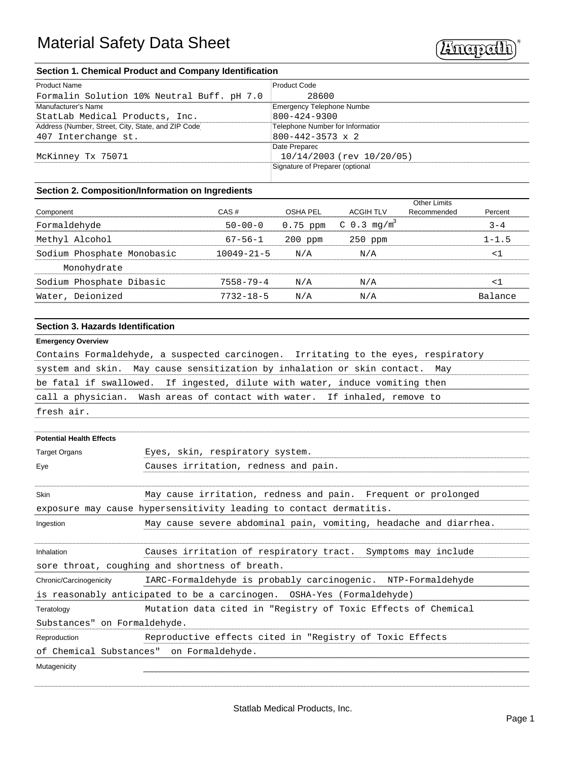

### **Section 1. Chemical Product and Company Identification**

| <b>Product Name</b>                                 | <b>Product Code</b>              |
|-----------------------------------------------------|----------------------------------|
| Formalin Solution 10% Neutral Buff. pH 7.0          | 28600                            |
| Manufacturer's Name                                 | Emergency Telephone Number       |
| StatLab Medical Products, Inc.                      | $800 - 424 - 9300$               |
| Address (Number, Street, City, State, and ZIP Code) | Telephone Number for Information |
| 407 Interchange st.                                 | $800 - 442 - 3573 \times 2$      |
|                                                     | Date Preparec                    |
| McKinney Tx 75071                                   | 10/14/2003 (rev 10/20/05)        |
|                                                     | Signature of Preparer (optional  |
|                                                     |                                  |

# **Section 2. Composition/Information on Ingredients**

|                            |                  |           |                                    | <b>Other Limits</b> |           |
|----------------------------|------------------|-----------|------------------------------------|---------------------|-----------|
| Component                  | CAS#             | OSHA PEL  | ACGIH TLV                          | Recommended         | Percent   |
| Formaldehyde               | $50 - 00 - 0$    |           | 0.75 ppm $C$ 0.3 mq/m <sup>3</sup> |                     | $3 - 4$   |
| Methyl Alcohol             | $67 - 56 - 1$    | $200$ ppm | $250$ ppm                          |                     | $1 - 1.5$ |
| Sodium Phosphate Monobasic | $10049 - 21 - 5$ | N/A       | N/A                                |                     | م -       |
| Monohydrate                |                  |           |                                    |                     |           |
| Sodium Phosphate Dibasic   | $7558 - 79 - 4$  | N/A       | N/A                                |                     | ╯         |
| Water, Deionized           | $7732 - 18 - 5$  | N/A       | N/A                                |                     | Balance   |
|                            |                  |           |                                    |                     |           |

### **Section 3. Hazards Identification**

#### **Emergency Overview**

Contains Formaldehyde, a suspected carcinogen. Irritating to the eyes, respiratory system and skin. May cause sensitization by inhalation or skin contact. May be fatal if swallowed. If ingested, dilute with water, induce vomiting then call a physician. Wash areas of contact with water. If inhaled, remove to fresh air.

| <b>Potential Health Effects</b> |                                                                       |
|---------------------------------|-----------------------------------------------------------------------|
| <b>Target Organs</b>            | Eyes, skin, respiratory system.                                       |
| Eye                             | Causes irritation, redness and pain.                                  |
| Skin                            | May cause irritation, redness and pain. Frequent or prolonged         |
|                                 | exposure may cause hypersensitivity leading to contact dermatitis.    |
| Ingestion                       | May cause severe abdominal pain, vomiting, headache and diarrhea.     |
| Inhalation                      | Causes irritation of respiratory tract. Symptoms may include          |
|                                 | sore throat, coughing and shortness of breath.                        |
| Chronic/Carcinogenicity         | IARC-Formaldehyde is probably carcinogenic. NTP-Formaldehyde          |
|                                 | is reasonably anticipated to be a carcinogen. OSHA-Yes (Formaldehyde) |
| Teratology                      | Mutation data cited in "Registry of Toxic Effects of Chemical         |
| Substances" on Formaldehyde.    |                                                                       |
| Reproduction                    | Reproductive effects cited in "Registry of Toxic Effects              |
|                                 | of Chemical Substances" on Formaldehyde.                              |
| Mutagenicity                    |                                                                       |
|                                 |                                                                       |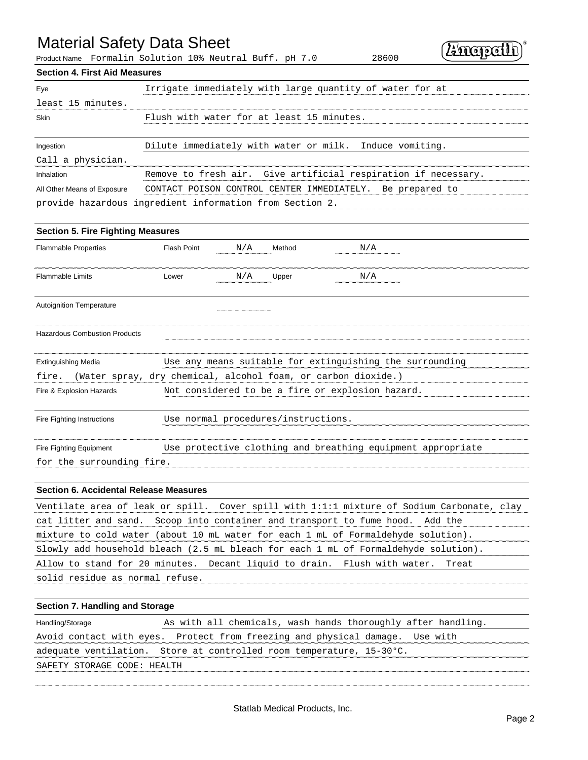# Material Safety Data Sheet

Product Name Formalin Solution 10% Neutral Buff. pH 7.0 28600

# **Section 4. First Aid Measures**

| Irrigate immediately with large quantity of water for at<br>Eye |                                                                |  |  |  |  |  |  |  |
|-----------------------------------------------------------------|----------------------------------------------------------------|--|--|--|--|--|--|--|
| least 15 minutes.                                               |                                                                |  |  |  |  |  |  |  |
| Skin                                                            | Flush with water for at least 15 minutes.                      |  |  |  |  |  |  |  |
| Ingestion                                                       | Dilute immediately with water or milk. Induce vomiting.        |  |  |  |  |  |  |  |
| Call a physician.                                               |                                                                |  |  |  |  |  |  |  |
| Inhalation                                                      | Remove to fresh air. Give artificial respiration if necessary. |  |  |  |  |  |  |  |
| All Other Means of Exposure                                     | CONTACT POISON CONTROL CENTER IMMEDIATELY. Be prepared to      |  |  |  |  |  |  |  |
|                                                                 | provide hazardous ingredient information from Section 2.       |  |  |  |  |  |  |  |

| <b>Section 5. Fire Fighting Measures</b>                               |                                     |     |        |                                                             |  |  |  |  |  |
|------------------------------------------------------------------------|-------------------------------------|-----|--------|-------------------------------------------------------------|--|--|--|--|--|
| <b>Flammable Properties</b>                                            | <b>Flash Point</b>                  | N/A | Method | N/A                                                         |  |  |  |  |  |
| <b>Flammable Limits</b>                                                | Lower                               | N/A | Upper  | N/A                                                         |  |  |  |  |  |
| <b>Autoignition Temperature</b>                                        |                                     |     |        |                                                             |  |  |  |  |  |
| <b>Hazardous Combustion Products</b>                                   |                                     |     |        |                                                             |  |  |  |  |  |
|                                                                        |                                     |     |        |                                                             |  |  |  |  |  |
| <b>Extinguishing Media</b>                                             |                                     |     |        | Use any means suitable for extinguishing the surrounding    |  |  |  |  |  |
| (Water spray, dry chemical, alcohol foam, or carbon dioxide.)<br>fire. |                                     |     |        |                                                             |  |  |  |  |  |
| Fire & Explosion Hazards                                               |                                     |     |        | Not considered to be a fire or explosion hazard.            |  |  |  |  |  |
|                                                                        |                                     |     |        |                                                             |  |  |  |  |  |
| Fire Fighting Instructions                                             | Use normal procedures/instructions. |     |        |                                                             |  |  |  |  |  |
|                                                                        |                                     |     |        |                                                             |  |  |  |  |  |
| Fire Fighting Equipment                                                |                                     |     |        | Use protective clothing and breathing equipment appropriate |  |  |  |  |  |
| for the surrounding fire.                                              |                                     |     |        |                                                             |  |  |  |  |  |

### **Section 6. Accidental Release Measures**

| Ventilate area of leak or spill. Cover spill with 1:1:1 mixture of Sodium Carbonate, clay       |
|-------------------------------------------------------------------------------------------------|
| cat litter and sand. Scoop into container and transport to fume hood. Add the                   |
| mixture to cold water (about 10 mL water for each 1 mL of Formaldehyde solution).               |
| Slowly add household bleach $(2.5 \text{ mL}$ bleach for each 1 $mL$ of Formaldehyde solution). |
| Allow to stand for 20 minutes. Decant liquid to drain. Flush with water. Treat                  |
| solid residue as normal refuse.                                                                 |

## **Section 7. Handling and Storage**

| Handling/Storage            | As with all chemicals, wash hands thoroughly after handling.                   |  |
|-----------------------------|--------------------------------------------------------------------------------|--|
|                             | Avoid contact with eyes. Protect from freezing and physical damage. Use with   |  |
|                             | adequate ventilation. Store at controlled room temperature, $15-30^{\circ}$ C. |  |
| SAFETY STORAGE CODE: HEALTH |                                                                                |  |

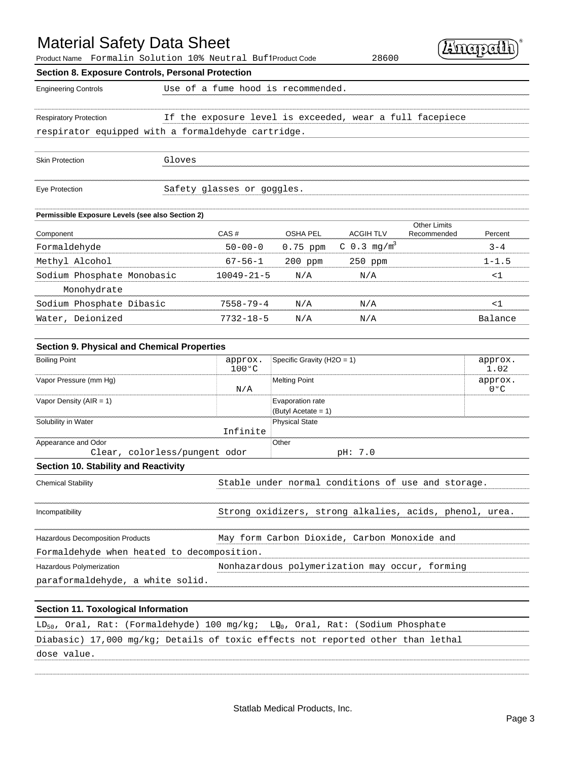# Material Safety Data Sheet

Product Name Formalin Solution 10% Neutral BuffProduct Code 28600

| Ploductivalle rofileLiil Sofutfoll fo% Neutraf BuffrioductCode<br>Section 8. Exposure Controls, Personal Protection |        |                            |                                    | 20000                                                    |                     |                          |
|---------------------------------------------------------------------------------------------------------------------|--------|----------------------------|------------------------------------|----------------------------------------------------------|---------------------|--------------------------|
|                                                                                                                     |        |                            |                                    |                                                          |                     |                          |
| <b>Engineering Controls</b>                                                                                         |        |                            | Use of a fume hood is recommended. |                                                          |                     |                          |
|                                                                                                                     |        |                            |                                    |                                                          |                     |                          |
| <b>Respiratory Protection</b>                                                                                       |        |                            |                                    | If the exposure level is exceeded, wear a full facepiece |                     |                          |
| respirator equipped with a formaldehyde cartridge.                                                                  |        |                            |                                    |                                                          |                     |                          |
|                                                                                                                     |        |                            |                                    |                                                          |                     |                          |
| <b>Skin Protection</b>                                                                                              | Gloves |                            |                                    |                                                          |                     |                          |
|                                                                                                                     |        |                            |                                    |                                                          |                     |                          |
| Eye Protection                                                                                                      |        | Safety glasses or goggles. |                                    |                                                          |                     |                          |
|                                                                                                                     |        |                            |                                    |                                                          |                     |                          |
| Permissible Exposure Levels (see also Section 2)                                                                    |        |                            |                                    |                                                          | <b>Other Limits</b> |                          |
| Component                                                                                                           |        | CAS#                       | <b>OSHA PEL</b>                    | <b>ACGIH TLV</b>                                         | Recommended         | Percent                  |
| Formaldehyde                                                                                                        |        | $50 - 00 - 0$              | 0.75 ppm                           | C $0.3$ mg/m <sup>3</sup>                                |                     | $3 - 4$                  |
| Methyl Alcohol                                                                                                      |        | $67 - 56 - 1$              | 200 ppm                            | 250 ppm                                                  |                     | $1 - 1.5$                |
| Sodium Phosphate Monobasic                                                                                          |        | $10049 - 21 - 5$           | N/A                                | N/A                                                      |                     | $<$ 1                    |
| Monohydrate                                                                                                         |        |                            |                                    |                                                          |                     |                          |
| Sodium Phosphate Dibasic                                                                                            |        | $7558 - 79 - 4$            | N/A                                | N/A                                                      |                     | $<$ $1$                  |
| Water, Deionized                                                                                                    |        | $7732 - 18 - 5$            | N/A                                | N/A                                                      |                     | Balance                  |
|                                                                                                                     |        |                            |                                    |                                                          |                     |                          |
| <b>Section 9. Physical and Chemical Properties</b>                                                                  |        |                            |                                    |                                                          |                     |                          |
| <b>Boiling Point</b>                                                                                                |        | approx.<br>$100^{\circ}$ C | Specific Gravity ( $H2O = 1$ )     |                                                          |                     | approx.<br>1.02          |
| Vapor Pressure (mm Hg)                                                                                              |        | N/A                        | <b>Melting Point</b>               |                                                          |                     | approx.<br>$0^{\circ}$ C |
| Vapor Density ( $AIR = 1$ )                                                                                         |        |                            | Evaporation rate                   |                                                          |                     |                          |
|                                                                                                                     |        |                            | (Butyl Acetate = 1)                |                                                          |                     |                          |
| Solubility in Water                                                                                                 |        | Infinite                   | <b>Physical State</b>              |                                                          |                     |                          |
| Appearance and Odor                                                                                                 |        |                            | Other                              |                                                          |                     |                          |
| Clear, colorless/pungent odor                                                                                       |        |                            |                                    | pH: 7.0                                                  |                     |                          |

Chemical Stability Stable under normal conditions of use and storage. Incompatibility Strong oxidizers, strong alkalies, acids, phenol, urea. Hazardous Decomposition Products **May form Carbon Dioxide, Carbon Monoxide** and Formaldehyde when heated to decomposition. Hazardous Polymerization Nonhazardous polymerization may occur, forming paraformaldehyde, a white solid.

#### **Section 11. Toxological Information**

|             |  | $LD_{50}$ , Oral, Rat: (Formaldehyde) 100 mg/kg; LD <sub>0</sub> , Oral, Rat: (Sodium Phosphate |  |  |  |  |  |
|-------------|--|-------------------------------------------------------------------------------------------------|--|--|--|--|--|
|             |  | Diabasic) 17,000 mg/kg; Details of toxic effects not reported other than lethal                 |  |  |  |  |  |
| dose value. |  |                                                                                                 |  |  |  |  |  |